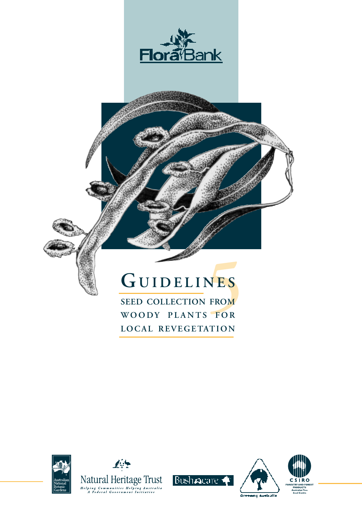



# **5 <sup>G</sup> UIDELINES**

**SEED COLLECTION FROM WOODY PLANTS FOR LOCAL REVEGETATION**









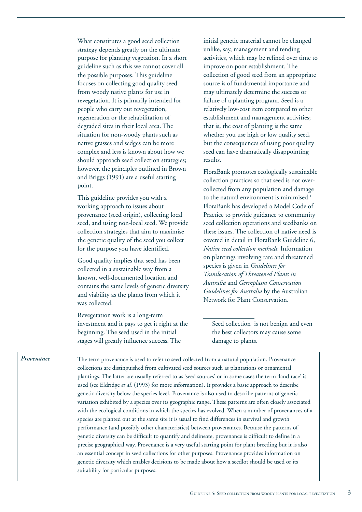What constitutes a good seed collection strategy depends greatly on the ultimate purpose for planting vegetation. In a short guideline such as this we cannot cover all the possible purposes. This guideline focuses on collecting good quality seed from woody native plants for use in revegetation. It is primarily intended for people who carry out revegetation, regeneration or the rehabilitation of degraded sites in their local area. The situation for non-woody plants such as native grasses and sedges can be more complex and less is known about how we should approach seed collection strategies; however, the principles outlined in Brown and Briggs (1991) are a useful starting point.

This guideline provides you with a working approach to issues about provenance (seed origin), collecting local seed, and using non-local seed. We provide collection strategies that aim to maximise the genetic quality of the seed you collect for the purpose you have identified.

Good quality implies that seed has been collected in a sustainable way from a known, well-documented location and contains the same levels of genetic diversity and viability as the plants from which it was collected.

Revegetation work is a long-term investment and it pays to get it right at the beginning. The seed used in the initial stages will greatly influence success. The

initial genetic material cannot be changed unlike, say, management and tending activities, which may be refined over time to improve on poor establishment. The collection of good seed from an appropriate source is of fundamental importance and may ultimately determine the success or failure of a planting program. Seed is a relatively low-cost item compared to other establishment and management activities; that is, the cost of planting is the same whether you use high or low quality seed, but the consequences of using poor quality seed can have dramatically disappointing results.

FloraBank promotes ecologically sustainable collection practices so that seed is not overcollected from any population and damage to the natural environment is minimised.<sup>1</sup> FloraBank has developed a Model Code of Practice to provide guidance to community seed collection operations and seedbanks on these issues. The collection of native need is covered in detail in FloraBank Guideline 6, *Native seed collection methods*. Information on plantings involving rare and threatened species is given in *Guidelines for Translocation of Threatened Plants in Australia* and *Germplasm Conservation Guidelines for Australia* by the Australian Network for Plant Conservation.

Seed collection is not benign and even the best collectors may cause some damage to plants.

The term provenance is used to refer to seed collected from a natural population. Provenance collections are distinguished from cultivated seed sources such as plantations or ornamental plantings. The latter are usually referred to as 'seed sources' or in some cases the term 'land race' is used (see Eldridge *et al.* (1993) for more information). It provides a basic approach to describe genetic diversity below the species level. Provenance is also used to describe patterns of genetic variation exhibited by a species over its geographic range. These patterns are often closely associated with the ecological conditions in which the species has evolved. When a number of provenances of a species are planted out at the same site it is usual to find differences in survival and growth performance (and possibly other characteristics) between provenances. Because the patterns of genetic diversity can be difficult to quantify and delineate, provenance is difficult to define in a precise geographical way. Provenance is a very useful starting point for plant breeding but it is also an essential concept in seed collections for other purposes. Provenance provides information on genetic diversity which enables decisions to be made about how a seedlot should be used or its suitability for particular purposes. *Provenance*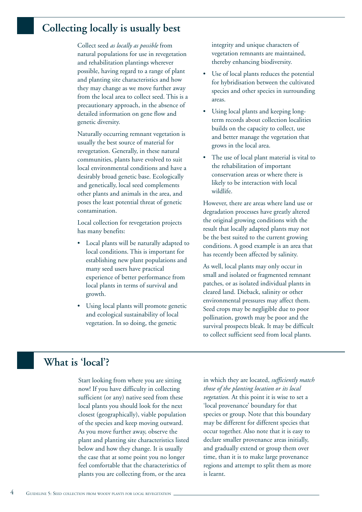### **Collecting locally is usually best**

Collect seed *as locally as possible* from natural populations for use in revegetation and rehabilitation plantings wherever possible, having regard to a range of plant and planting site characteristics and how they may change as we move further away from the local area to collect seed. This is a precautionary approach, in the absence of detailed information on gene flow and genetic diversity.

Naturally occurring remnant vegetation is usually the best source of material for revegetation. Generally, in these natural communities, plants have evolved to suit local environmental conditions and have a desirably broad genetic base. Ecologically and genetically, local seed complements other plants and animals in the area, and poses the least potential threat of genetic contamination.

Local collection for revegetation projects has many benefits:

- Local plants will be naturally adapted to local conditions. This is important for establishing new plant populations and many seed users have practical experience of better performance from local plants in terms of survival and growth.
- Using local plants will promote genetic and ecological sustainability of local vegetation. In so doing, the genetic

integrity and unique characters of vegetation remnants are maintained, thereby enhancing biodiversity.

- Use of local plants reduces the potential for hybridisation between the cultivated species and other species in surrounding areas.
- Using local plants and keeping longterm records about collection localities builds on the capacity to collect, use and better manage the vegetation that grows in the local area.
- The use of local plant material is vital to the rehabilitation of important conservation areas or where there is likely to be interaction with local wildlife.

However, there are areas where land use or degradation processes have greatly altered the original growing conditions with the result that locally adapted plants may not be the best suited to the current growing conditions. A good example is an area that has recently been affected by salinity.

As well, local plants may only occur in small and isolated or fragmented remnant patches, or as isolated individual plants in cleared land. Dieback, salinity or other environmental pressures may affect them. Seed crops may be negligible due to poor pollination, growth may be poor and the survival prospects bleak. It may be difficult to collect sufficient seed from local plants.

# **What is 'local'?**

Start looking from where you are sitting now! If you have difficulty in collecting sufficient (or any) native seed from these local plants you should look for the next closest (geographically), viable population of the species and keep moving outward. As you move further away, observe the plant and planting site characteristics listed below and how they change. It is usually the case that at some point you no longer feel comfortable that the characteristics of plants you are collecting from, or the area

in which they are located, *sufficiently match those of the planting location or its local vegetation.* At this point it is wise to set a 'local provenance' boundary for that species or group. Note that this boundary may be different for different species that occur together. Also note that it is easy to declare smaller provenance areas initially, and gradually extend or group them over time, than it is to make large provenance regions and attempt to split them as more is learnt.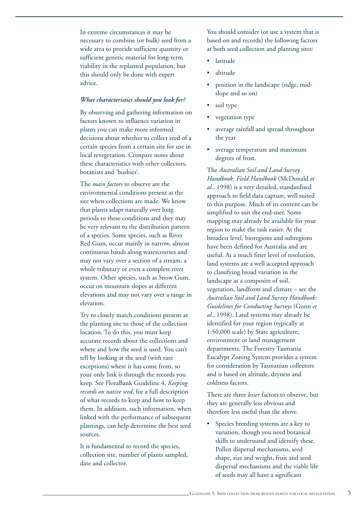In extreme circumstances it may be necessary to combine (or bulk) seed from a wide area to provide sufficient quantity or sufficient genetic material for long-term viability in the replanted population, but this should only be done with expert advice.

#### *What characteristics should you look for?*

By observing and gathering information on factors known to influence variation in plants you can make more informed decisions about whether to collect seed of a certain species from a certain site for use in local revegetation. Compare notes about these characteristics with other collectors, botanists and 'bushies'.

The *main factors* to observe are the environmental conditions present at the site when collections are made. We know that plants adapt naturally over long periods to these conditions and they may be very relevant to the distribution pattern of a species. Some species, such as River Red Gum, occur mainly in narrow, almost continuous bands along watercourses and may not vary over a section of a stream, a whole tributary or even a complete river system. Other species, such as Snow Gum, occur on mountain slopes at different elevations and may not vary over a range in elevation.

Try to closely match conditions present at the planting site to those of the collection location. To do this, you must keep accurate records about the collections and where and how the seed is used. You can't tell by looking at the seed (with rare exceptions) where it has come from, so your only link is through the records you keep. See FloraBank Guideline 4, *Keeping records on native seed*, for a full description of what records to keep and how to keep them. In addition, such information, when linked with the performance of subsequent plantings, can help determine the best seed sources.

It is fundamental to record the species, collection site, number of plants sampled, date and collector.

You should consider (or use a system that is based on and records) the following factors at both seed collection and planting sites:

- latitude
- altitude
- position in the landscape (ridge, midslope and so on)
- soil type
- vegetation type
- average rainfall and spread throughout the year
- average temperature and maximum degrees of frost.

The *Australian Soil and Land Survey Handbook: Field Handbook* (McDonald *et al.*, 1998) is a very detailed, standardised approach to field data capture, well suited to this purpose. Much of its content can be simplified to suit the end-user. Some mapping may already be available for your region to make the task easier. At the broadest level, bioregions and subregions have been defined for Australia and are useful. At a much finer level of resolution, land systems are a well accepted approach to classifying broad variation in the landscape as a composite of soil, vegetation, landform and climate – see the *Australian Soil and Land Survey Handbook: Guidelines for Conducting Surveys* (Gunn *et al.*, 1998). Land systems may already be identified for your region (typically at 1:50,000 scale) by State agriculture, environment or land management departments. The Forestry Tasmania Eucalypt Zoning System provides a system for consideration by Tasmanian collectors and is based on altitude, dryness and coldness factors.

There are three *lesser* factors to observe, but they are generally less obvious and therefore less useful than the above.

Species breeding systems are a key to variation, though you need botanical skills to understand and identify these. Pollen dispersal mechanisms, seed shape, size and weight, fruit and seed dispersal mechanisms and the viable life of seeds may all have a significant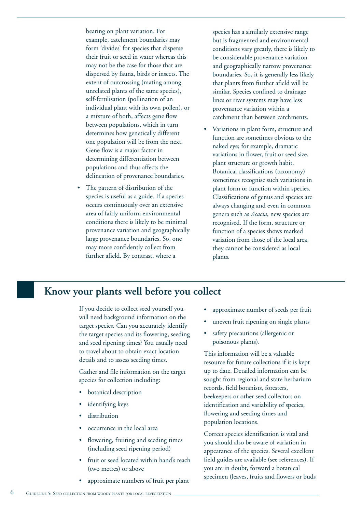bearing on plant variation. For example, catchment boundaries may form 'divides' for species that disperse their fruit or seed in water whereas this may not be the case for those that are dispersed by fauna, birds or insects. The extent of outcrossing (mating among unrelated plants of the same species), self-fertilisation (pollination of an individual plant with its own pollen), or a mixture of both, affects gene flow between populations, which in turn determines how genetically different one population will be from the next. Gene flow is a major factor in determining differentiation between populations and thus affects the delineation of provenance boundaries.

The pattern of distribution of the species is useful as a guide. If a species occurs continuously over an extensive area of fairly uniform environmental conditions there is likely to be minimal provenance variation and geographically large provenance boundaries. So, one may more confidently collect from further afield. By contrast, where a

species has a similarly extensive range but is fragmented and environmental conditions vary greatly, there is likely to be considerable provenance variation and geographically narrow provenance boundaries. So, it is generally less likely that plants from further afield will be similar. Species confined to drainage lines or river systems may have less provenance variation within a catchment than between catchments.

• Variations in plant form, structure and function are sometimes obvious to the naked eye; for example, dramatic variations in flower, fruit or seed size, plant structure or growth habit. Botanical classifications (taxonomy) sometimes recognise such variations in plant form or function within species. Classifications of genus and species are always changing and even in common genera such as *Acacia*, new species are recognised. If the form, structure or function of a species shows marked variation from those of the local area, they cannot be considered as local plants.

### **Know your plants well before you collect**

If you decide to collect seed yourself you will need background information on the target species. Can you accurately identify the target species and its flowering, seeding and seed ripening times? You usually need to travel about to obtain exact location details and to assess seeding times.

Gather and file information on the target species for collection including:

- botanical description
- identifying keys
- distribution
- occurrence in the local area
- flowering, fruiting and seeding times (including seed ripening period)
- fruit or seed located within hand's reach (two metres) or above
- approximate numbers of fruit per plant
- approximate number of seeds per fruit
- uneven fruit ripening on single plants
- safety precautions (allergenic or poisonous plants).

This information will be a valuable resource for future collections if it is kept up to date. Detailed information can be sought from regional and state herbarium records, field botanists, foresters, beekeepers or other seed collectors on identification and variability of species, flowering and seeding times and population locations.

Correct species identification is vital and you should also be aware of variation in appearance of the species. Several excellent field guides are available (see references). If you are in doubt, forward a botanical specimen (leaves, fruits and flowers or buds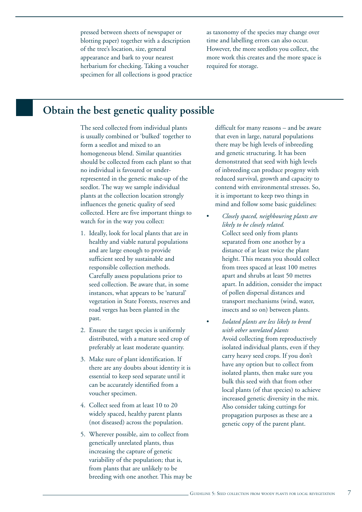pressed between sheets of newspaper or blotting paper) together with a description of the tree's location, size, general appearance and bark to your nearest herbarium for checking. Taking a voucher specimen for all collections is good practice as taxonomy of the species may change over time and labelling errors can also occur. However, the more seedlots you collect, the more work this creates and the more space is required for storage.

## **Obtain the best genetic quality possible**

The seed collected from individual plants is usually combined or 'bulked' together to form a seedlot and mixed to an homogeneous blend. Similar quantities should be collected from each plant so that no individual is favoured or underrepresented in the genetic make-up of the seedlot. The way we sample individual plants at the collection location strongly influences the genetic quality of seed collected. Here are five important things to watch for in the way you collect:

- 1. Ideally, look for local plants that are in healthy and viable natural populations and are large enough to provide sufficient seed by sustainable and responsible collection methods. Carefully assess populations prior to seed collection. Be aware that, in some instances, what appears to be 'natural' vegetation in State Forests, reserves and road verges has been planted in the past.
- 2. Ensure the target species is uniformly distributed, with a mature seed crop of preferably at least moderate quantity.
- 3. Make sure of plant identification. If there are any doubts about identity it is essential to keep seed separate until it can be accurately identified from a voucher specimen.
- 4. Collect seed from at least 10 to 20 widely spaced, healthy parent plants (not diseased) across the population.
- 5. Wherever possible, aim to collect from genetically unrelated plants, thus increasing the capture of genetic variability of the population; that is, from plants that are unlikely to be breeding with one another. This may be

difficult for many reasons – and be aware that even in large, natural populations there may be high levels of inbreeding and genetic structuring. It has been demonstrated that seed with high levels of inbreeding can produce progeny with reduced survival, growth and capacity to contend with environmental stresses. So, it is important to keep two things in mind and follow some basic guidelines:

- *Closely spaced, neighbouring plants are likely to be closely related.* Collect seed only from plants separated from one another by a distance of at least twice the plant height. This means you should collect from trees spaced at least 100 metres apart and shrubs at least 50 metres apart. In addition, consider the impact of pollen dispersal distances and transport mechanisms (wind, water, insects and so on) between plants.
- *Isolated plants are less likely to breed with other unrelated plants* Avoid collecting from reproductively isolated individual plants, even if they carry heavy seed crops. If you don't have any option but to collect from isolated plants, then make sure you bulk this seed with that from other local plants (of that species) to achieve increased genetic diversity in the mix. Also consider taking cuttings for propagation purposes as these are a genetic copy of the parent plant.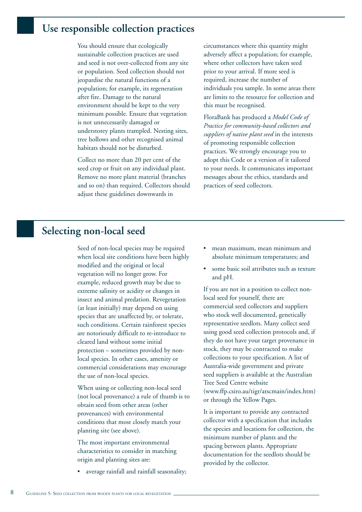#### **Use responsible collection practices**

You should ensure that ecologically sustainable collection practices are used and seed is not over-collected from any site or population. Seed collection should not jeopardise the natural functions of a population; for example, its regeneration after fire. Damage to the natural environment should be kept to the very minimum possible. Ensure that vegetation is not unnecessarily damaged or understorey plants trampled. Nesting sites, tree hollows and other recognised animal habitats should not be disturbed.

Collect no more than 20 per cent of the seed crop or fruit on any individual plant. Remove no more plant material (branches and so on) than required. Collectors should adjust these guidelines downwards in

circumstances where this quantity might adversely affect a population; for example, where other collectors have taken seed prior to your arrival. If more seed is required, increase the number of individuals you sample. In some areas there are limits to the resource for collection and this must be recognised.

FloraBank has produced a *Model Code of Practice for community-based collectors and suppliers of native plant seed* in the interests of promoting responsible collection practices. We strongly encourage you to adopt this Code or a version of it tailored to your needs. It communicates important messages about the ethics, standards and practices of seed collectors.

### **Selecting non-local seed**

Seed of non-local species may be required when local site conditions have been highly modified and the original or local vegetation will no longer grow. For example, reduced growth may be due to extreme salinity or acidity or changes in insect and animal predation. Revegetation (at least initially) may depend on using species that are unaffected by, or tolerate, such conditions. Certain rainforest species are notoriously difficult to re-introduce to cleared land without some initial protection – sometimes provided by nonlocal species. In other cases, amenity or commercial considerations may encourage the use of non-local species.

When using or collecting non-local seed (not local provenance) a rule of thumb is to obtain seed from other areas (other provenances) with environmental conditions that most closely match your planting site (see above).

The most important environmental characteristics to consider in matching origin and planting sites are:

• average rainfall and rainfall seasonality;

- mean maximum, mean minimum and absolute minimum temperatures; and
- some basic soil attributes such as texture and pH.

If you are not in a position to collect nonlocal seed for yourself, there are commercial seed collectors and suppliers who stock well documented, genetically representative seedlots. Many collect seed using good seed collection protocols and, if they do not have your target provenance in stock, they may be contracted to make collections to your specification. A list of Australia-wide government and private seed suppliers is available at the Australian Tree Seed Centre website (www.ffp.csiro.au/tigr/atscmain/index.htm) or through the Yellow Pages.

It is important to provide any contracted collector with a specification that includes the species and locations for collection, the minimum number of plants and the spacing between plants. Appropriate documentation for the seedlots should be provided by the collector.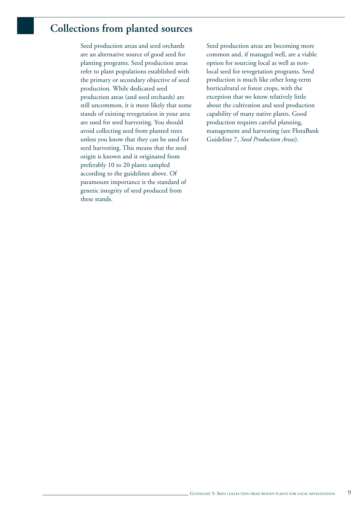# **Collections from planted sources**

Seed production areas and seed orchards are an alternative source of good seed for planting programs. Seed production areas refer to plant populations established with the primary or secondary objective of seed production. While dedicated seed production areas (and seed orchards) are still uncommon, it is more likely that some stands of existing revegetation in your area are used for seed harvesting. You should avoid collecting seed from planted trees unless you know that they can be used for seed harvesting. This means that the seed origin is known and it originated from preferably 10 to 20 plants sampled according to the guidelines above. Of paramount importance is the standard of genetic integrity of seed produced from these stands.

Seed production areas are becoming more common and, if managed well, are a viable option for sourcing local as well as nonlocal seed for revegetation programs. Seed production is much like other long-term horticultural or forest crops, with the exception that we know relatively little about the cultivation and seed production capability of many native plants. Good production requires careful planning, management and harvesting (see FloraBank Guideline 7, *Seed Production Areas*).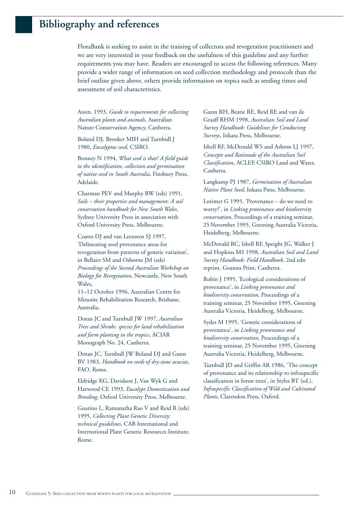### **Bibliography and references**

FloraBank is seeking to assist in the training of collectors and revegetation practitioners and we are very interested in your feedback on the usefulness of this guideline and any further requirements you may have. Readers are encouraged to access the following references. Many provide a wider range of information on seed collection methodology and protocols than the brief outline given above, others provide information on topics such as seeding times and assessment of soil characteristics.

Anon. 1993, *Guide to requirements for collecting Australian plants and animals*, Australian Nature Conservation Agency, Canberra.

Boland DJ, Brooker MIH and Turnbull J 1980, *Eucalyptus seed*, CSIRO.

Bonney N 1994, *What seed is that? A field guide to the identification, collection and germination of native seed in South Australia*, Finsbury Press, Adelaide.

Charman PEV and Murphy BW (eds) 1991, *Soils – their properties and management: A soil conservation handbook for New South Wales*, Sydney University Press in association with Oxford University Press, Melbourne.

Coates DJ and van Leeuwen SJ 1997, 'Delineating seed provenance areas for revegetation from patterns of genetic variation', in Bellairs SM and Osborne JM (eds) *Proceedings of the Second Australian Workshop on Biology for Revegetation*, Newcastle, New South Wales,

11–12 October 1996, Australian Centre for Minesite Rehabilitation Research, Brisbane, Australia.

Doran JC and Turnbull JW 1997, *Australian Trees and Shrubs: species for land rehabilitation and farm planting in the tropics*, ACIAR Monograph No. 24, Canberra.

Doran JC, Turnbull JW Boland DJ and Gunn BV 1983, *Handbook on seeds of dry-zone acacias*, FAO, Rome.

Eldridge KG, Davidson J, Van Wyk G and Harwood CE 1993, *Eucalypt Domestication and Breeding*, Oxford University Press, Melbourne.

Guarino L, Ramanatha Rao V and Reid R (eds) 1995, *Collecting Plant Genetic Diversity: technical guidelines*, CAB International and International Plant Genetic Resources Institute, Rome.

Gunn RH, Beatie RE, Reid RE and van de Graaff RHM 1998, *Australian Soil and Land Survey Handbook: Guidelines for Conducting Surveys*, Inkata Press, Melbourne.

Isbell RF, McDonald WS and Ashton LJ 1997, *Concepts and Rationale of the Australian Soil Classification*, ACLEP, CSIRO Land and Water, Canberra.

Langkamp PJ 1987, *Germination of Australian Native Plant Seed*, Inkata Press, Melbourne.

Lorimer G 1995, 'Provenance – do we need to worry?', in *Linking provenance and biodiversity conservation*, Proceedings of a training seminar, 25November 1995, Greening Australia Victoria, Heidelberg, Melbourne.

McDonald RC, Isbell RF, Speight JG, Walker J and Hopkins MS 1998, *Australian Soil and Land Survey Handbook: Field Handbook*, 2nd edn reprint, Goanna Print, Canberra.

Robin J 1995, 'Ecological considerations of provenance', in *Linking provenance and biodiversity conservation*, Proceedings of a training seminar, 25 November 1995, Greening Australia Victoria, Heidelberg, Melbourne.

Sydes M 1995, 'Genetic considerations of provenance', in *Linking provenance and biodiversity conservation*, Proceedings of a training seminar, 25 November 1995, Greening Australia Victoria, Heidelberg, Melbourne.

Turnbull JD and Griffin AR 1986, 'The concept of provenance and its relationship to infraspecific classification in forest trees', in Styles BT (ed.), *Infraspecific Classification of Wild and Cultivated Plants*, Clarendon Press, Oxford.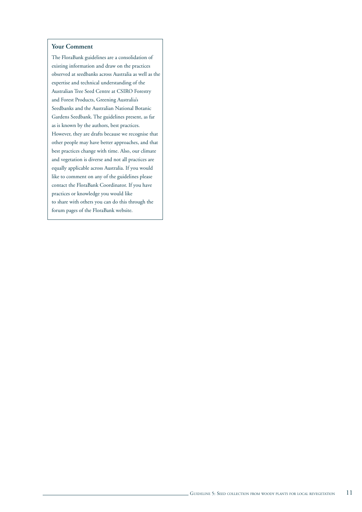#### **Your Comment**

The FloraBank guidelines are a consolidation of existing information and draw on the practices observed at seedbanks across Australia as well as the expertise and technical understanding of the Australian Tree Seed Centre at CSIRO Forestry and Forest Products, Greening Australia's Seedbanks and the Australian National Botanic Gardens Seedbank. The guidelines present, as far as is known by the authors, best practices. However, they are drafts because we recognise that other people may have better approaches, and that best practices change with time. Also, our climate and vegetation is diverse and not all practices are equally applicable across Australia. If you would like to comment on any of the guidelines please contact the FloraBank Coordinator. If you have practices or knowledge you would like to share with others you can do this through the forum pages of the FloraBank website.